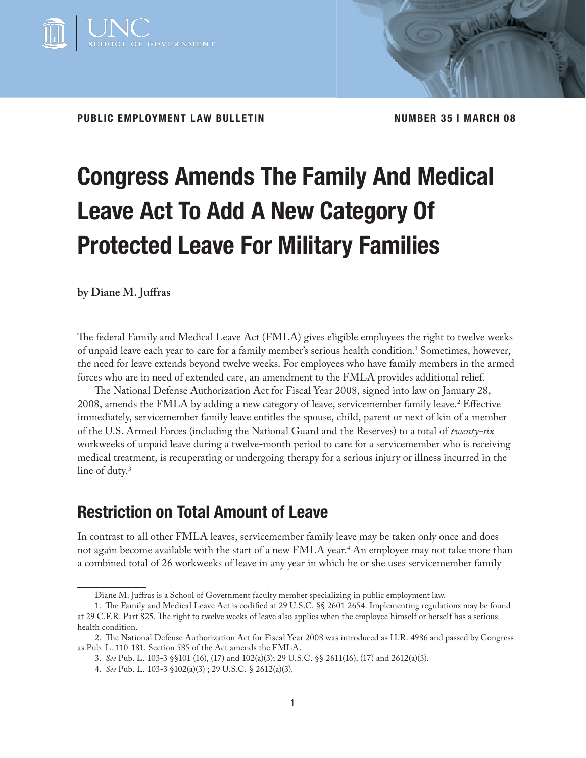

PUBLIC EMPLOYMENT LAW BULLETIN **NUMBER 35 I MARCH 08** 

# **Congress Amends The Family And Medical Leave Act To Add A New Category Of Protected Leave For Military Families**

**by Diane M. Juffras** 

The federal Family and Medical Leave Act (FMLA) gives eligible employees the right to twelve weeks of unpaid leave each year to care for a family member's serious health condition.<sup>1</sup> Sometimes, however, the need for leave extends beyond twelve weeks. For employees who have family members in the armed forces who are in need of extended care, an amendment to the FMLA provides additional relief.

The National Defense Authorization Act for Fiscal Year 2008, signed into law on January 28, 2008, amends the FMLA by adding a new category of leave, servicemember family leave.<sup>2</sup> Effective immediately, servicemember family leave entitles the spouse, child, parent or next of kin of a member of the U.S. Armed Forces (including the National Guard and the Reserves) to a total of *twenty-six* workweeks of unpaid leave during a twelve-month period to care for a servicemember who is receiving medical treatment, is recuperating or undergoing therapy for a serious injury or illness incurred in the line of duty.<sup>3</sup>

## **Restriction on Total Amount of Leave**

In contrast to all other FMLA leaves, servicemember family leave may be taken only once and does not again become available with the start of a new FMLA year. $\rm ^4$  An employee may not take more than a combined total of 26 workweeks of leave in any year in which he or she uses servicemember family

Diane M. Juffras is a School of Government faculty member specializing in public employment law.

<sup>1.</sup> The Family and Medical Leave Act is codified at 29 U.S.C. §§ 2601-2654. Implementing regulations may be found at 29 C.F.R. Part 825. The right to twelve weeks of leave also applies when the employee himself or herself has a serious health condition.

<sup>2.</sup> The National Defense Authorization Act for Fiscal Year 2008 was introduced as H.R. 4986 and passed by Congress as Pub. L. 110-181. Section 585 of the Act amends the FMLA.

<sup>3.</sup> *See* Pub. L. 103-3 §§101 (16), (17) and 102(a)(3); 29 U.S.C. §§ 2611(16), (17) and 2612(a)(3).

<sup>4.</sup> *See* Pub. L. 103-3 §102(a)(3) ; 29 U.S.C. § 2612(a)(3).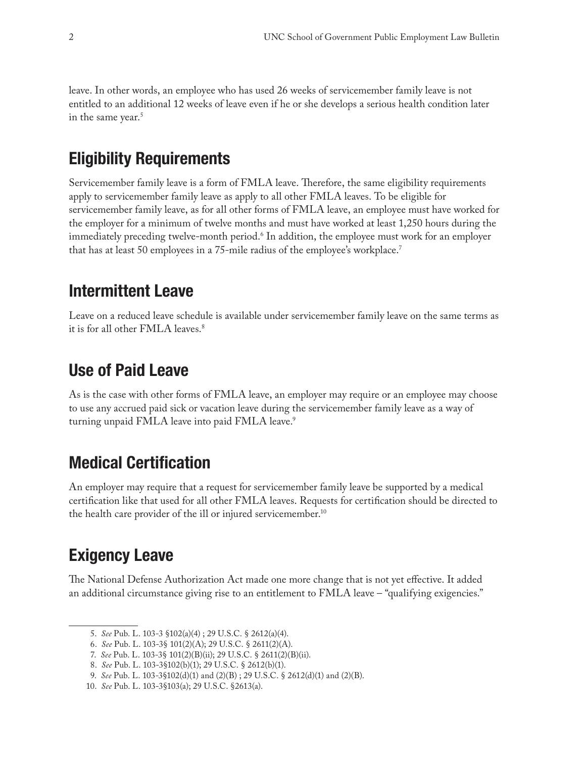leave. In other words, an employee who has used 26 weeks of servicemember family leave is not entitled to an additional 12 weeks of leave even if he or she develops a serious health condition later in the same year.<sup>5</sup>

# **Eligibility Requirements**

Servicemember family leave is a form of FMLA leave. Therefore, the same eligibility requirements apply to servicemember family leave as apply to all other FMLA leaves. To be eligible for servicemember family leave, as for all other forms of FMLA leave, an employee must have worked for the employer for a minimum of twelve months and must have worked at least 1,250 hours during the immediately preceding twelve-month period.6 In addition, the employee must work for an employer that has at least 50 employees in a 75-mile radius of the employee's workplace.7

## **Intermittent Leave**

Leave on a reduced leave schedule is available under servicemember family leave on the same terms as it is for all other FMLA leaves.<sup>8</sup>

## **Use of Paid Leave**

As is the case with other forms of FMLA leave, an employer may require or an employee may choose to use any accrued paid sick or vacation leave during the servicemember family leave as a way of turning unpaid FMLA leave into paid FMLA leave.<sup>9</sup>

# **Medical Certification**

An employer may require that a request for servicemember family leave be supported by a medical certification like that used for all other FMLA leaves. Requests for certification should be directed to the health care provider of the ill or injured servicemember.10

# **Exigency Leave**

The National Defense Authorization Act made one more change that is not yet effective. It added an additional circumstance giving rise to an entitlement to FMLA leave – "qualifying exigencies."

 <sup>5.</sup> *See* Pub. L. 103-3 §102(a)(4) ; 29 U.S.C. § 2612(a)(4).

 <sup>6.</sup> *See* Pub. L. 103-3§ 101(2)(A); 29 U.S.C. § 2611(2)(A).

 <sup>7.</sup> *See* Pub. L. 103-3§ 101(2)(B)(ii); 29 U.S.C. § 2611(2)(B)(ii).

 <sup>8.</sup> *See* Pub. L. 103-3§102(b)(1); 29 U.S.C. § 2612(b)(1).

 <sup>9.</sup> *See* Pub. L. 103-3§102(d)(1) and (2)(B) ; 29 U.S.C. § 2612(d)(1) and (2)(B).

<sup>10.</sup> *See* Pub. L. 103-3§103(a); 29 U.S.C. §2613(a).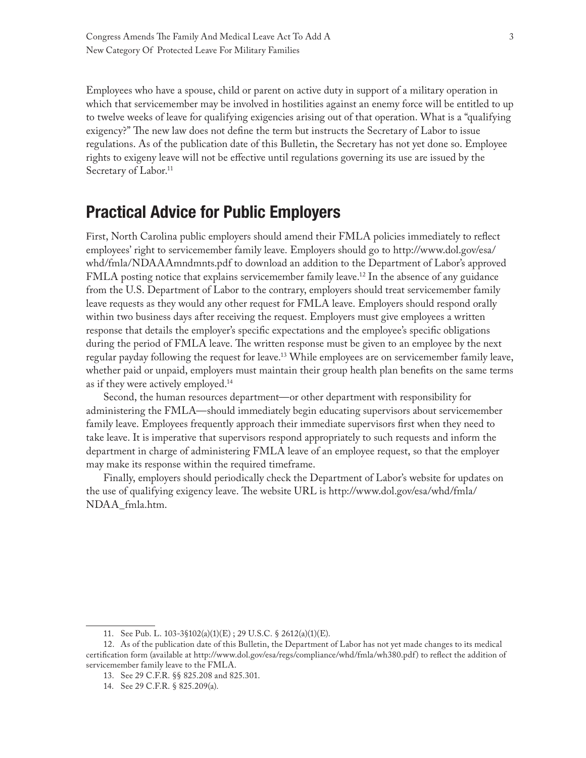Employees who have a spouse, child or parent on active duty in support of a military operation in which that servicemember may be involved in hostilities against an enemy force will be entitled to up to twelve weeks of leave for qualifying exigencies arising out of that operation. What is a "qualifying exigency?" The new law does not define the term but instructs the Secretary of Labor to issue regulations. As of the publication date of this Bulletin, the Secretary has not yet done so. Employee rights to exigeny leave will not be effective until regulations governing its use are issued by the Secretary of Labor.<sup>11</sup>

## **Practical Advice for Public Employers**

First, North Carolina public employers should amend their FMLA policies immediately to reflect employees' right to servicemember family leave. Employers should go to http://www.dol.gov/esa/ whd/fmla/NDAAAmndmnts.pdf to download an addition to the Department of Labor's approved FMLA posting notice that explains servicemember family leave.12 In the absence of any guidance from the U.S. Department of Labor to the contrary, employers should treat servicemember family leave requests as they would any other request for FMLA leave. Employers should respond orally within two business days after receiving the request. Employers must give employees a written response that details the employer's specific expectations and the employee's specific obligations during the period of FMLA leave. The written response must be given to an employee by the next regular payday following the request for leave.13 While employees are on servicemember family leave, whether paid or unpaid, employers must maintain their group health plan benefits on the same terms as if they were actively employed.14

Second, the human resources department—or other department with responsibility for administering the FMLA—should immediately begin educating supervisors about servicemember family leave. Employees frequently approach their immediate supervisors first when they need to take leave. It is imperative that supervisors respond appropriately to such requests and inform the department in charge of administering FMLA leave of an employee request, so that the employer may make its response within the required timeframe.

Finally, employers should periodically check the Department of Labor's website for updates on the use of qualifying exigency leave. The website URL is http://www.dol.gov/esa/whd/fmla/ NDAA\_fmla.htm.

<sup>11.</sup> See Pub. L. 103-3§102(a)(1)(E) ; 29 U.S.C. § 2612(a)(1)(E).

<sup>12.</sup> As of the publication date of this Bulletin, the Department of Labor has not yet made changes to its medical certification form (available at http://www.dol.gov/esa/regs/compliance/whd/fmla/wh380.pdf) to reflect the addition of servicemember family leave to the FMLA.

<sup>13.</sup> See 29 C.F.R. §§ 825.208 and 825.301.

<sup>14.</sup> See 29 C.F.R. § 825.209(a).